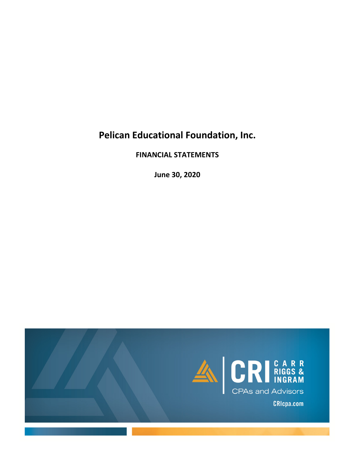# **Pelican Educational Foundation, Inc.**

**FINANCIAL STATEMENTS**

**June 30, 2020**

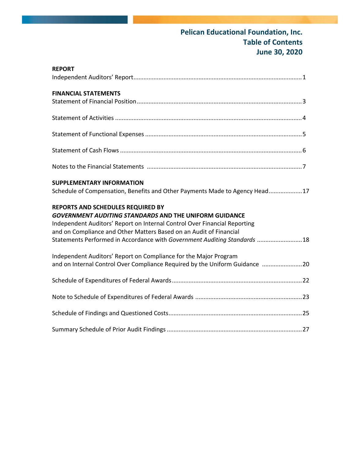# **Pelican Educational Foundation, Inc. Table of Contents June 30, 2020**

| <b>REPORT</b>                                                                                                                                                                                                                                                                                                                      |
|------------------------------------------------------------------------------------------------------------------------------------------------------------------------------------------------------------------------------------------------------------------------------------------------------------------------------------|
|                                                                                                                                                                                                                                                                                                                                    |
| <b>FINANCIAL STATEMENTS</b>                                                                                                                                                                                                                                                                                                        |
|                                                                                                                                                                                                                                                                                                                                    |
|                                                                                                                                                                                                                                                                                                                                    |
|                                                                                                                                                                                                                                                                                                                                    |
|                                                                                                                                                                                                                                                                                                                                    |
| <b>SUPPLEMENTARY INFORMATION</b><br>Schedule of Compensation, Benefits and Other Payments Made to Agency Head17                                                                                                                                                                                                                    |
| REPORTS AND SCHEDULES REQUIRED BY<br><b>GOVERNMENT AUDITING STANDARDS AND THE UNIFORM GUIDANCE</b><br>Independent Auditors' Report on Internal Control Over Financial Reporting<br>and on Compliance and Other Matters Based on an Audit of Financial<br>Statements Performed in Accordance with Government Auditing Standards  18 |
| Independent Auditors' Report on Compliance for the Major Program<br>and on Internal Control Over Compliance Required by the Uniform Guidance 20                                                                                                                                                                                    |
|                                                                                                                                                                                                                                                                                                                                    |
|                                                                                                                                                                                                                                                                                                                                    |
|                                                                                                                                                                                                                                                                                                                                    |
|                                                                                                                                                                                                                                                                                                                                    |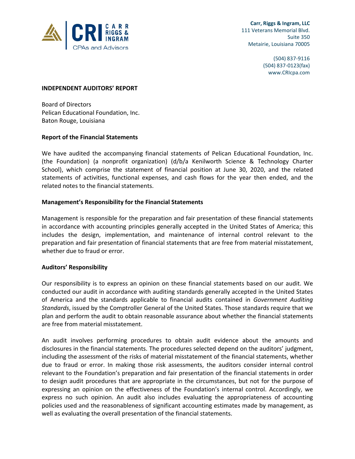

 **Carr, Riggs & Ingram, LLC** 111 Veterans Memorial Blvd. Suite 350 Metairie, Louisiana 70005

> (504) 837‐9116 (504) 837‐0123(fax) www.CRIcpa.com

#### **INDEPENDENT AUDITORS' REPORT**

Board of Directors Pelican Educational Foundation, Inc. Baton Rouge, Louisiana

#### **Report of the Financial Statements**

We have audited the accompanying financial statements of Pelican Educational Foundation, Inc. (the Foundation) (a nonprofit organization) (d/b/a Kenilworth Science & Technology Charter School), which comprise the statement of financial position at June 30, 2020, and the related statements of activities, functional expenses, and cash flows for the year then ended, and the related notes to the financial statements.

#### **Management's Responsibility for the Financial Statements**

Management is responsible for the preparation and fair presentation of these financial statements in accordance with accounting principles generally accepted in the United States of America; this includes the design, implementation, and maintenance of internal control relevant to the preparation and fair presentation of financial statements that are free from material misstatement, whether due to fraud or error.

#### **Auditors' Responsibility**

Our responsibility is to express an opinion on these financial statements based on our audit. We conducted our audit in accordance with auditing standards generally accepted in the United States of America and the standards applicable to financial audits contained in *Government Auditing Standards*, issued by the Comptroller General of the United States. Those standards require that we plan and perform the audit to obtain reasonable assurance about whether the financial statements are free from material misstatement.

An audit involves performing procedures to obtain audit evidence about the amounts and disclosures in the financial statements. The procedures selected depend on the auditors' judgment, including the assessment of the risks of material misstatement of the financial statements, whether due to fraud or error. In making those risk assessments, the auditors consider internal control relevant to the Foundation's preparation and fair presentation of the financial statements in order to design audit procedures that are appropriate in the circumstances, but not for the purpose of expressing an opinion on the effectiveness of the Foundation's internal control. Accordingly, we express no such opinion. An audit also includes evaluating the appropriateness of accounting policies used and the reasonableness of significant accounting estimates made by management, as well as evaluating the overall presentation of the financial statements.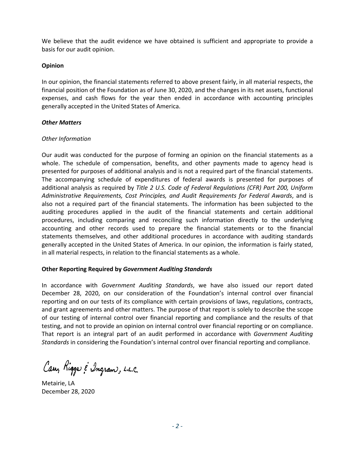We believe that the audit evidence we have obtained is sufficient and appropriate to provide a basis for our audit opinion.

## **Opinion**

In our opinion, the financial statements referred to above present fairly, in all material respects, the financial position of the Foundation as of June 30, 2020, and the changes in its net assets, functional expenses, and cash flows for the year then ended in accordance with accounting principles generally accepted in the United States of America.

## *Other Matters*

## *Other Information*

Our audit was conducted for the purpose of forming an opinion on the financial statements as a whole. The schedule of compensation, benefits, and other payments made to agency head is presented for purposes of additional analysis and is not a required part of the financial statements. The accompanying schedule of expenditures of federal awards is presented for purposes of additional analysis as required by *Title 2 U.S. Code of Federal Regulations (CFR) Part 200, Uniform Administrative Requirements, Cost Principles, and Audit Requirements for Federal Awards*, and is also not a required part of the financial statements. The information has been subjected to the auditing procedures applied in the audit of the financial statements and certain additional procedures, including comparing and reconciling such information directly to the underlying accounting and other records used to prepare the financial statements or to the financial statements themselves, and other additional procedures in accordance with auditing standards generally accepted in the United States of America. In our opinion, the information is fairly stated, in all material respects, in relation to the financial statements as a whole.

## **Other Reporting Required by** *Government Auditing Standards*

In accordance with *Government Auditing Standards*, we have also issued our report dated December 28, 2020, on our consideration of the Foundation's internal control over financial reporting and on our tests of its compliance with certain provisions of laws, regulations, contracts, and grant agreements and other matters. The purpose of that report is solely to describe the scope of our testing of internal control over financial reporting and compliance and the results of that testing, and not to provide an opinion on internal control over financial reporting or on compliance. That report is an integral part of an audit performed in accordance with *Government Auditing Standards* in considering the Foundation's internal control over financial reporting and compliance.

Cary Riggs & Ingram, L.L.C.

Metairie, LA December 28, 2020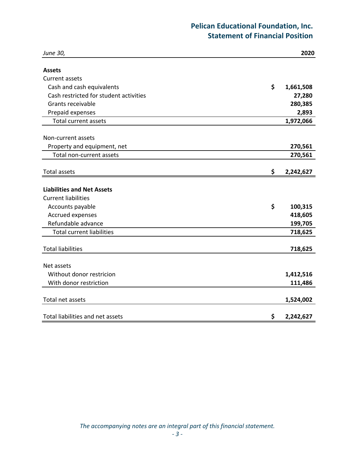# **Pelican Educational Foundation, Inc. Statement of Financial Position**

| June 30,                               | 2020            |
|----------------------------------------|-----------------|
| <b>Assets</b>                          |                 |
| <b>Current assets</b>                  |                 |
| Cash and cash equivalents              | \$<br>1,661,508 |
| Cash restricted for student activities | 27,280          |
| Grants receivable                      | 280,385         |
| Prepaid expenses                       | 2,893           |
| <b>Total current assets</b>            | 1,972,066       |
| Non-current assets                     |                 |
| Property and equipment, net            | 270,561         |
| Total non-current assets               | 270,561         |
| <b>Total assets</b>                    | \$<br>2,242,627 |
| <b>Liabilities and Net Assets</b>      |                 |
| <b>Current liabilities</b>             |                 |
| Accounts payable                       | \$<br>100,315   |
| <b>Accrued expenses</b>                | 418,605         |
| Refundable advance                     | 199,705         |
| <b>Total current liabilities</b>       | 718,625         |
| <b>Total liabilities</b>               | 718,625         |
| Net assets                             |                 |
| Without donor restricion               | 1,412,516       |
| With donor restriction                 | 111,486         |
| Total net assets                       | 1,524,002       |
| Total liabilities and net assets       | \$<br>2,242,627 |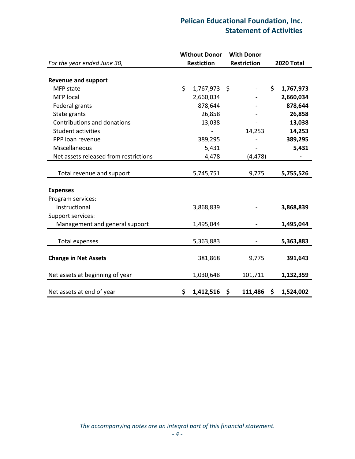## **Pelican Educational Foundation, Inc. Statement of Activities**

|                                       | <b>Without Donor</b> | <b>With Donor</b>  |                 |
|---------------------------------------|----------------------|--------------------|-----------------|
| For the year ended June 30,           | <b>Restiction</b>    | <b>Restriction</b> | 2020 Total      |
| <b>Revenue and support</b>            |                      |                    |                 |
| MFP state                             | \$<br>1,767,973 \$   |                    | \$<br>1,767,973 |
| <b>MFP</b> local                      | 2,660,034            |                    | 2,660,034       |
| Federal grants                        | 878,644              |                    | 878,644         |
| State grants                          | 26,858               |                    | 26,858          |
|                                       |                      |                    |                 |
| Contributions and donations           | 13,038               |                    | 13,038          |
| <b>Student activities</b>             |                      | 14,253             | 14,253          |
| PPP loan revenue                      | 389,295              |                    | 389,295         |
| Miscellaneous                         | 5,431                |                    | 5,431           |
| Net assets released from restrictions | 4,478                | (4, 478)           |                 |
| Total revenue and support             | 5,745,751            | 9,775              | 5,755,526       |
|                                       |                      |                    |                 |
| <b>Expenses</b>                       |                      |                    |                 |
| Program services:                     |                      |                    |                 |
| Instructional                         | 3,868,839            |                    | 3,868,839       |
| Support services:                     |                      |                    |                 |
| Management and general support        | 1,495,044            |                    | 1,495,044       |
| <b>Total expenses</b>                 | 5,363,883            |                    | 5,363,883       |
|                                       |                      |                    |                 |
| <b>Change in Net Assets</b>           | 381,868              | 9,775              | 391,643         |
| Net assets at beginning of year       | 1,030,648            | 101,711            | 1,132,359       |
| Net assets at end of year             | \$<br>$1,412,516$ \$ | 111,486            | \$<br>1,524,002 |

*The accompanying notes are an integral part of this financial statement.*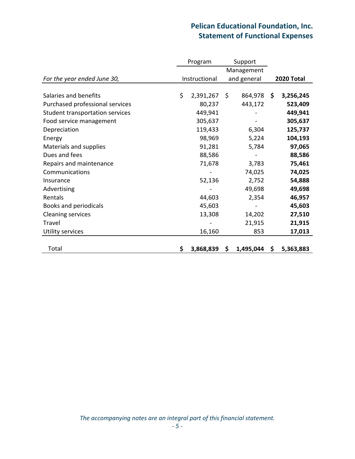# **Pelican Educational Foundation, Inc. Statement of Functional Expenses**

|                                 | Program         |     | Support     |    |                   |
|---------------------------------|-----------------|-----|-------------|----|-------------------|
|                                 |                 |     | Management  |    |                   |
| For the year ended June 30,     | Instructional   |     | and general |    | <b>2020 Total</b> |
|                                 |                 |     |             |    |                   |
| Salaries and benefits           | \$<br>2,391,267 | \$  | 864,978 \$  |    | 3,256,245         |
| Purchased professional services | 80,237          |     | 443,172     |    | 523,409           |
| Student transportation services | 449,941         |     |             |    | 449,941           |
| Food service management         | 305,637         |     |             |    | 305,637           |
| Depreciation                    | 119,433         |     | 6,304       |    | 125,737           |
| Energy                          | 98,969          |     | 5,224       |    | 104,193           |
| Materials and supplies          | 91,281          |     | 5,784       |    | 97,065            |
| Dues and fees                   | 88,586          |     |             |    | 88,586            |
| Repairs and maintenance         | 71,678          |     | 3,783       |    | 75,461            |
| Communications                  |                 |     | 74,025      |    | 74,025            |
| Insurance                       | 52,136          |     | 2,752       |    | 54,888            |
| Advertising                     |                 |     | 49,698      |    | 49,698            |
| Rentals                         | 44,603          |     | 2,354       |    | 46,957            |
| Books and periodicals           | 45,603          |     |             |    | 45,603            |
| <b>Cleaning services</b>        | 13,308          |     | 14,202      |    | 27,510            |
| Travel                          |                 |     | 21,915      |    | 21,915            |
| Utility services                | 16,160          |     | 853         |    | 17,013            |
|                                 |                 |     |             |    |                   |
| Total                           | \$<br>3,868,839 | \$. | 1,495,044   | S. | 5,363,883         |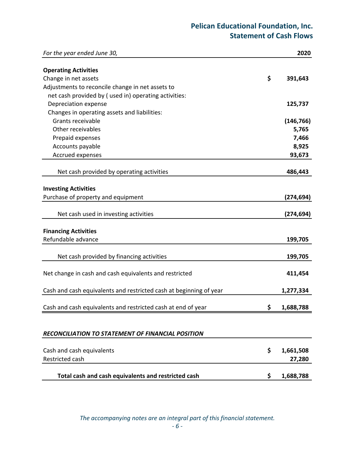# **Pelican Educational Foundation, Inc. Statement of Cash Flows**

| For the year ended June 30,                                        | 2020            |
|--------------------------------------------------------------------|-----------------|
| <b>Operating Activities</b>                                        |                 |
| Change in net assets                                               | \$<br>391,643   |
| Adjustments to reconcile change in net assets to                   |                 |
| net cash provided by (used in) operating activities:               |                 |
| Depreciation expense                                               | 125,737         |
| Changes in operating assets and liabilities:                       |                 |
| Grants receivable                                                  | (146, 766)      |
| Other receivables                                                  | 5,765           |
| Prepaid expenses                                                   | 7,466           |
| Accounts payable                                                   | 8,925           |
| Accrued expenses                                                   | 93,673          |
|                                                                    |                 |
| Net cash provided by operating activities                          | 486,443         |
|                                                                    |                 |
| <b>Investing Activities</b>                                        |                 |
| Purchase of property and equipment                                 | (274, 694)      |
| Net cash used in investing activities                              | (274, 694)      |
|                                                                    |                 |
| <b>Financing Activities</b>                                        |                 |
| Refundable advance                                                 | 199,705         |
|                                                                    | 199,705         |
| Net cash provided by financing activities                          |                 |
| Net change in cash and cash equivalents and restricted             | 411,454         |
| Cash and cash equivalents and restricted cash at beginning of year | 1,277,334       |
| Cash and cash equivalents and restricted cash at end of year       | \$<br>1,688,788 |
|                                                                    |                 |
|                                                                    |                 |
| RECONCILIATION TO STATEMENT OF FINANCIAL POSITION                  |                 |
| Cash and cash equivalents                                          | \$<br>1,661,508 |
| Restricted cash                                                    | 27,280          |
|                                                                    |                 |
| Total cash and cash equivalents and restricted cash                | \$<br>1,688,788 |

*The accompanying notes are an integral part of this financial statement.*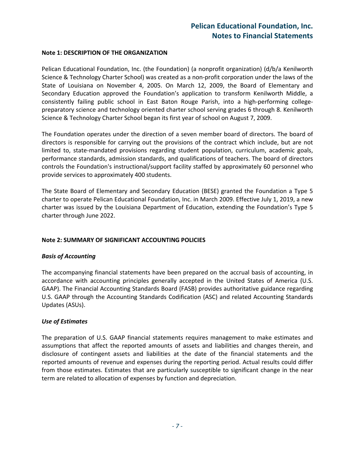## **Note 1: DESCRIPTION OF THE ORGANIZATION**

Pelican Educational Foundation, Inc. (the Foundation) (a nonprofit organization) (d/b/a Kenilworth Science & Technology Charter School) was created as a non‐profit corporation under the laws of the State of Louisiana on November 4, 2005. On March 12, 2009, the Board of Elementary and Secondary Education approved the Foundation's application to transform Kenilworth Middle, a consistently failing public school in East Baton Rouge Parish, into a high‐performing college‐ preparatory science and technology oriented charter school serving grades 6 through 8. Kenilworth Science & Technology Charter School began its first year of school on August 7, 2009.

The Foundation operates under the direction of a seven member board of directors. The board of directors is responsible for carrying out the provisions of the contract which include, but are not limited to, state-mandated provisions regarding student population, curriculum, academic goals, performance standards, admission standards, and qualifications of teachers. The board of directors controls the Foundation's instructional/support facility staffed by approximately 60 personnel who provide services to approximately 400 students.

The State Board of Elementary and Secondary Education (BESE) granted the Foundation a Type 5 charter to operate Pelican Educational Foundation, Inc. in March 2009. Effective July 1, 2019, a new charter was issued by the Louisiana Department of Education, extending the Foundation's Type 5 charter through June 2022.

## **Note 2: SUMMARY OF SIGNIFICANT ACCOUNTING POLICIES**

#### *Basis of Accounting*

The accompanying financial statements have been prepared on the accrual basis of accounting, in accordance with accounting principles generally accepted in the United States of America (U.S. GAAP). The Financial Accounting Standards Board (FASB) provides authoritative guidance regarding U.S. GAAP through the Accounting Standards Codification (ASC) and related Accounting Standards Updates (ASUs).

#### *Use of Estimates*

The preparation of U.S. GAAP financial statements requires management to make estimates and assumptions that affect the reported amounts of assets and liabilities and changes therein, and disclosure of contingent assets and liabilities at the date of the financial statements and the reported amounts of revenue and expenses during the reporting period. Actual results could differ from those estimates. Estimates that are particularly susceptible to significant change in the near term are related to allocation of expenses by function and depreciation.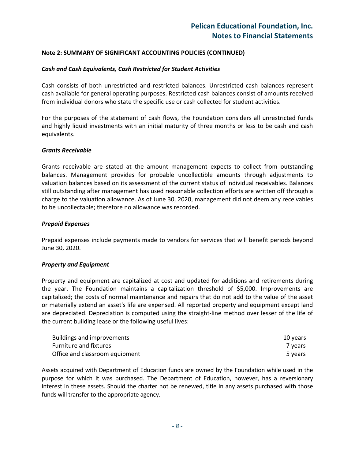### *Cash and Cash Equivalents, Cash Restricted for Student Activities*

Cash consists of both unrestricted and restricted balances. Unrestricted cash balances represent cash available for general operating purposes. Restricted cash balances consist of amounts received from individual donors who state the specific use or cash collected for student activities.

For the purposes of the statement of cash flows, the Foundation considers all unrestricted funds and highly liquid investments with an initial maturity of three months or less to be cash and cash equivalents.

#### *Grants Receivable*

Grants receivable are stated at the amount management expects to collect from outstanding balances. Management provides for probable uncollectible amounts through adjustments to valuation balances based on its assessment of the current status of individual receivables. Balances still outstanding after management has used reasonable collection efforts are written off through a charge to the valuation allowance. As of June 30, 2020, management did not deem any receivables to be uncollectable; therefore no allowance was recorded.

#### *Prepaid Expenses*

Prepaid expenses include payments made to vendors for services that will benefit periods beyond June 30, 2020.

#### *Property and Equipment*

Property and equipment are capitalized at cost and updated for additions and retirements during the year. The Foundation maintains a capitalization threshold of \$5,000. Improvements are capitalized; the costs of normal maintenance and repairs that do not add to the value of the asset or materially extend an asset's life are expensed. All reported property and equipment except land are depreciated. Depreciation is computed using the straight‐line method over lesser of the life of the current building lease or the following useful lives:

| Buildings and improvements     | 10 vears |
|--------------------------------|----------|
| <b>Furniture and fixtures</b>  | 7 years  |
| Office and classroom equipment | 5 years  |

Assets acquired with Department of Education funds are owned by the Foundation while used in the purpose for which it was purchased. The Department of Education, however, has a reversionary interest in these assets. Should the charter not be renewed, title in any assets purchased with those funds will transfer to the appropriate agency.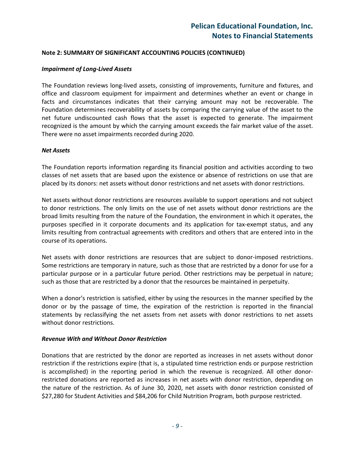### *Impairment of Long‐Lived Assets*

The Foundation reviews long‐lived assets, consisting of improvements, furniture and fixtures, and office and classroom equipment for impairment and determines whether an event or change in facts and circumstances indicates that their carrying amount may not be recoverable. The Foundation determines recoverability of assets by comparing the carrying value of the asset to the net future undiscounted cash flows that the asset is expected to generate. The impairment recognized is the amount by which the carrying amount exceeds the fair market value of the asset. There were no asset impairments recorded during 2020.

#### *Net Assets*

The Foundation reports information regarding its financial position and activities according to two classes of net assets that are based upon the existence or absence of restrictions on use that are placed by its donors: net assets without donor restrictions and net assets with donor restrictions.

Net assets without donor restrictions are resources available to support operations and not subject to donor restrictions. The only limits on the use of net assets without donor restrictions are the broad limits resulting from the nature of the Foundation, the environment in which it operates, the purposes specified in it corporate documents and its application for tax‐exempt status, and any limits resulting from contractual agreements with creditors and others that are entered into in the course of its operations.

Net assets with donor restrictions are resources that are subject to donor-imposed restrictions. Some restrictions are temporary in nature, such as those that are restricted by a donor for use for a particular purpose or in a particular future period. Other restrictions may be perpetual in nature; such as those that are restricted by a donor that the resources be maintained in perpetuity.

When a donor's restriction is satisfied, either by using the resources in the manner specified by the donor or by the passage of time, the expiration of the restriction is reported in the financial statements by reclassifying the net assets from net assets with donor restrictions to net assets without donor restrictions.

#### *Revenue With and Without Donor Restriction*

Donations that are restricted by the donor are reported as increases in net assets without donor restriction if the restrictions expire (that is, a stipulated time restriction ends or purpose restriction is accomplished) in the reporting period in which the revenue is recognized. All other donor‐ restricted donations are reported as increases in net assets with donor restriction, depending on the nature of the restriction. As of June 30, 2020, net assets with donor restriction consisted of \$27,280 for Student Activities and \$84,206 for Child Nutrition Program, both purpose restricted.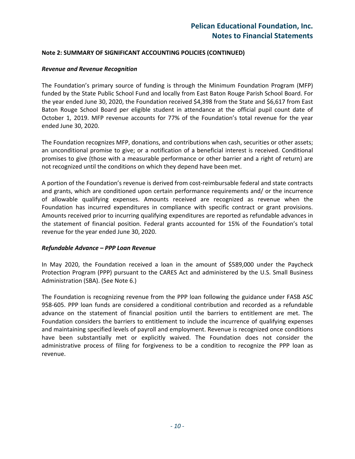#### *Revenue and Revenue Recognition*

The Foundation's primary source of funding is through the Minimum Foundation Program (MFP) funded by the State Public School Fund and locally from East Baton Rouge Parish School Board. For the year ended June 30, 2020, the Foundation received \$4,398 from the State and \$6,617 from East Baton Rouge School Board per eligible student in attendance at the official pupil count date of October 1, 2019. MFP revenue accounts for 77% of the Foundation's total revenue for the year ended June 30, 2020.

The Foundation recognizes MFP, donations, and contributions when cash, securities or other assets; an unconditional promise to give; or a notification of a beneficial interest is received. Conditional promises to give (those with a measurable performance or other barrier and a right of return) are not recognized until the conditions on which they depend have been met.

A portion of the Foundation's revenue is derived from cost-reimbursable federal and state contracts and grants, which are conditioned upon certain performance requirements and/ or the incurrence of allowable qualifying expenses. Amounts received are recognized as revenue when the Foundation has incurred expenditures in compliance with specific contract or grant provisions. Amounts received prior to incurring qualifying expenditures are reported as refundable advances in the statement of financial position. Federal grants accounted for 15% of the Foundation's total revenue for the year ended June 30, 2020.

#### *Refundable Advance – PPP Loan Revenue*

In May 2020, the Foundation received a loan in the amount of \$589,000 under the Paycheck Protection Program (PPP) pursuant to the CARES Act and administered by the U.S. Small Business Administration (SBA). (See Note 6.)

The Foundation is recognizing revenue from the PPP loan following the guidance under FASB ASC 958‐605. PPP loan funds are considered a conditional contribution and recorded as a refundable advance on the statement of financial position until the barriers to entitlement are met. The Foundation considers the barriers to entitlement to include the incurrence of qualifying expenses and maintaining specified levels of payroll and employment. Revenue is recognized once conditions have been substantially met or explicitly waived. The Foundation does not consider the administrative process of filing for forgiveness to be a condition to recognize the PPP loan as revenue.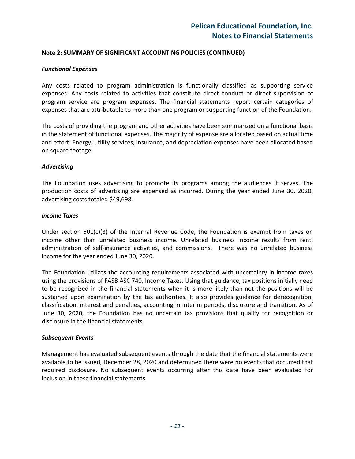#### *Functional Expenses*

Any costs related to program administration is functionally classified as supporting service expenses. Any costs related to activities that constitute direct conduct or direct supervision of program service are program expenses. The financial statements report certain categories of expenses that are attributable to more than one program or supporting function of the Foundation.

The costs of providing the program and other activities have been summarized on a functional basis in the statement of functional expenses. The majority of expense are allocated based on actual time and effort. Energy, utility services, insurance, and depreciation expenses have been allocated based on square footage.

#### *Advertising*

The Foundation uses advertising to promote its programs among the audiences it serves. The production costs of advertising are expensed as incurred. During the year ended June 30, 2020, advertising costs totaled \$49,698.

#### *Income Taxes*

Under section 501(c)(3) of the Internal Revenue Code, the Foundation is exempt from taxes on income other than unrelated business income. Unrelated business income results from rent, administration of self-insurance activities, and commissions. There was no unrelated business income for the year ended June 30, 2020.

The Foundation utilizes the accounting requirements associated with uncertainty in income taxes using the provisions of FASB ASC 740, Income Taxes. Using that guidance, tax positions initially need to be recognized in the financial statements when it is more-likely-than-not the positions will be sustained upon examination by the tax authorities. It also provides guidance for derecognition, classification, interest and penalties, accounting in interim periods, disclosure and transition. As of June 30, 2020, the Foundation has no uncertain tax provisions that qualify for recognition or disclosure in the financial statements.

#### *Subsequent Events*

Management has evaluated subsequent events through the date that the financial statements were available to be issued, December 28, 2020 and determined there were no events that occurred that required disclosure. No subsequent events occurring after this date have been evaluated for inclusion in these financial statements.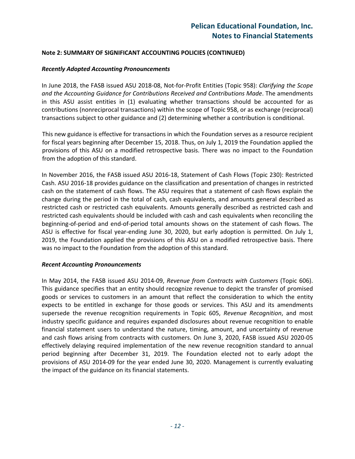#### *Recently Adopted Accounting Pronouncements*

In June 2018, the FASB issued ASU 2018‐08, Not‐for‐Profit Entities (Topic 958): *Clarifying the Scope and the Accounting Guidance for Contributions Received and Contributions Made*. The amendments in this ASU assist entities in (1) evaluating whether transactions should be accounted for as contributions (nonreciprocal transactions) within the scope of Topic 958, or as exchange (reciprocal) transactions subject to other guidance and (2) determining whether a contribution is conditional.

This new guidance is effective for transactions in which the Foundation serves as a resource recipient for fiscal years beginning after December 15, 2018. Thus, on July 1, 2019 the Foundation applied the provisions of this ASU on a modified retrospective basis. There was no impact to the Foundation from the adoption of this standard.

In November 2016, the FASB issued ASU 2016‐18, Statement of Cash Flows (Topic 230): Restricted Cash. ASU 2016‐18 provides guidance on the classification and presentation of changes in restricted cash on the statement of cash flows. The ASU requires that a statement of cash flows explain the change during the period in the total of cash, cash equivalents, and amounts general described as restricted cash or restricted cash equivalents. Amounts generally described as restricted cash and restricted cash equivalents should be included with cash and cash equivalents when reconciling the beginning‐of‐period and end‐of‐period total amounts shows on the statement of cash flows. The ASU is effective for fiscal year-ending June 30, 2020, but early adoption is permitted. On July 1, 2019, the Foundation applied the provisions of this ASU on a modified retrospective basis. There was no impact to the Foundation from the adoption of this standard.

#### *Recent Accounting Pronouncements*

In May 2014, the FASB issued ASU 2014‐09, *Revenue from Contracts with Customers* (Topic 606). This guidance specifies that an entity should recognize revenue to depict the transfer of promised goods or services to customers in an amount that reflect the consideration to which the entity expects to be entitled in exchange for those goods or services. This ASU and its amendments supersede the revenue recognition requirements in Topic 605, *Revenue Recognition*, and most industry specific guidance and requires expanded disclosures about revenue recognition to enable financial statement users to understand the nature, timing, amount, and uncertainty of revenue and cash flows arising from contracts with customers. On June 3, 2020, FASB issued ASU 2020‐05 effectively delaying required implementation of the new revenue recognition standard to annual period beginning after December 31, 2019. The Foundation elected not to early adopt the provisions of ASU 2014‐09 for the year ended June 30, 2020. Management is currently evaluating the impact of the guidance on its financial statements.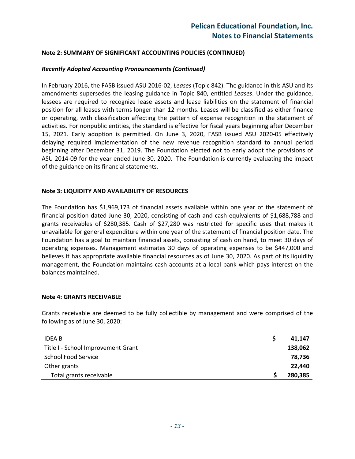## *Recently Adopted Accounting Pronouncements (Continued)*

In February 2016, the FASB issued ASU 2016‐02, *Leases* (Topic 842). The guidance in this ASU and its amendments supersedes the leasing guidance in Topic 840, entitled *Leases*. Under the guidance, lessees are required to recognize lease assets and lease liabilities on the statement of financial position for all leases with terms longer than 12 months. Leases will be classified as either finance or operating, with classification affecting the pattern of expense recognition in the statement of activities. For nonpublic entities, the standard is effective for fiscal years beginning after December 15, 2021. Early adoption is permitted. On June 3, 2020, FASB issued ASU 2020‐05 effectively delaying required implementation of the new revenue recognition standard to annual period beginning after December 31, 2019. The Foundation elected not to early adopt the provisions of ASU 2014‐09 for the year ended June 30, 2020. The Foundation is currently evaluating the impact of the guidance on its financial statements.

#### **Note 3: LIQUIDITY AND AVAILABILITY OF RESOURCES**

The Foundation has \$1,969,173 of financial assets available within one year of the statement of financial position dated June 30, 2020, consisting of cash and cash equivalents of \$1,688,788 and grants receivables of \$280,385. Cash of \$27,280 was restricted for specific uses that makes it unavailable for general expenditure within one year of the statement of financial position date. The Foundation has a goal to maintain financial assets, consisting of cash on hand, to meet 30 days of operating expenses. Management estimates 30 days of operating expenses to be \$447,000 and believes it has appropriate available financial resources as of June 30, 2020. As part of its liquidity management, the Foundation maintains cash accounts at a local bank which pays interest on the balances maintained.

#### **Note 4: GRANTS RECEIVABLE**

Grants receivable are deemed to be fully collectible by management and were comprised of the following as of June 30, 2020:

| <b>IDEA B</b>                      | 41.147  |
|------------------------------------|---------|
| Title I - School Improvement Grant | 138,062 |
| <b>School Food Service</b>         | 78.736  |
| Other grants                       | 22,440  |
| Total grants receivable            | 280,385 |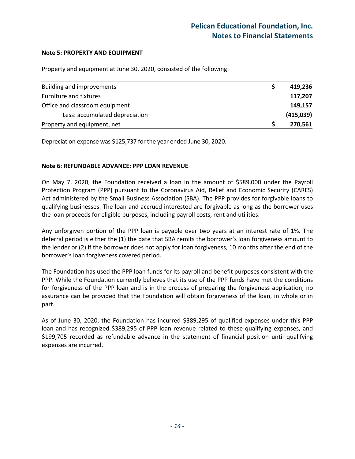### **Note 5: PROPERTY AND EQUIPMENT**

Property and equipment at June 30, 2020, consisted of the following:

| <b>Building and improvements</b> | 419,236   |
|----------------------------------|-----------|
| Furniture and fixtures           | 117,207   |
| Office and classroom equipment   | 149,157   |
| Less: accumulated depreciation   | (415,039) |
| Property and equipment, net      | 270,561   |

Depreciation expense was \$125,737 for the year ended June 30, 2020.

## **Note 6: REFUNDABLE ADVANCE: PPP LOAN REVENUE**

On May 7, 2020, the Foundation received a loan in the amount of \$589,000 under the Payroll Protection Program (PPP) pursuant to the Coronavirus Aid, Relief and Economic Security (CARES) Act administered by the Small Business Association (SBA). The PPP provides for forgivable loans to qualifying businesses. The loan and accrued interested are forgivable as long as the borrower uses the loan proceeds for eligible purposes, including payroll costs, rent and utilities.

Any unforgiven portion of the PPP loan is payable over two years at an interest rate of 1%. The deferral period is either the (1) the date that SBA remits the borrower's loan forgiveness amount to the lender or (2) if the borrower does not apply for loan forgiveness, 10 months after the end of the borrower's loan forgiveness covered period.

The Foundation has used the PPP loan funds for its payroll and benefit purposes consistent with the PPP. While the Foundation currently believes that its use of the PPP funds have met the conditions for forgiveness of the PPP loan and is in the process of preparing the forgiveness application, no assurance can be provided that the Foundation will obtain forgiveness of the loan, in whole or in part.

As of June 30, 2020, the Foundation has incurred \$389,295 of qualified expenses under this PPP loan and has recognized \$389,295 of PPP loan revenue related to these qualifying expenses, and \$199,705 recorded as refundable advance in the statement of financial position until qualifying expenses are incurred.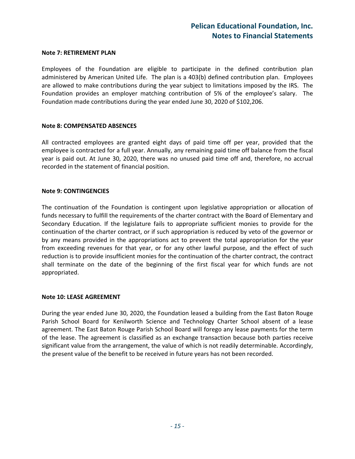## **Pelican Educational Foundation, Inc. Notes to Financial Statements**

#### **Note 7: RETIREMENT PLAN**

Employees of the Foundation are eligible to participate in the defined contribution plan administered by American United Life. The plan is a 403(b) defined contribution plan. Employees are allowed to make contributions during the year subject to limitations imposed by the IRS. The Foundation provides an employer matching contribution of 5% of the employee's salary. The Foundation made contributions during the year ended June 30, 2020 of \$102,206.

#### **Note 8: COMPENSATED ABSENCES**

All contracted employees are granted eight days of paid time off per year, provided that the employee is contracted for a full year. Annually, any remaining paid time off balance from the fiscal year is paid out. At June 30, 2020, there was no unused paid time off and, therefore, no accrual recorded in the statement of financial position.

#### **Note 9: CONTINGENCIES**

The continuation of the Foundation is contingent upon legislative appropriation or allocation of funds necessary to fulfill the requirements of the charter contract with the Board of Elementary and Secondary Education. If the legislature fails to appropriate sufficient monies to provide for the continuation of the charter contract, or if such appropriation is reduced by veto of the governor or by any means provided in the appropriations act to prevent the total appropriation for the year from exceeding revenues for that year, or for any other lawful purpose, and the effect of such reduction is to provide insufficient monies for the continuation of the charter contract, the contract shall terminate on the date of the beginning of the first fiscal year for which funds are not appropriated.

#### **Note 10: LEASE AGREEMENT**

During the year ended June 30, 2020, the Foundation leased a building from the East Baton Rouge Parish School Board for Kenilworth Science and Technology Charter School absent of a lease agreement. The East Baton Rouge Parish School Board will forego any lease payments for the term of the lease. The agreement is classified as an exchange transaction because both parties receive significant value from the arrangement, the value of which is not readily determinable. Accordingly, the present value of the benefit to be received in future years has not been recorded.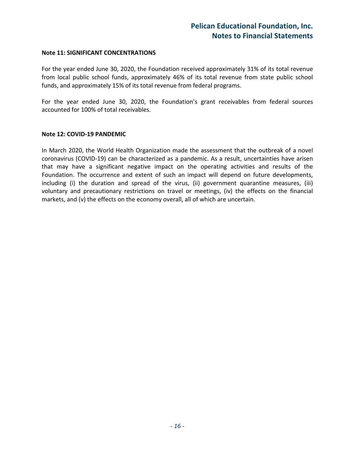#### **Note 11: SIGNIFICANT CONCENTRATIONS**

For the year ended June 30, 2020, the Foundation received approximately 31% of its total revenue from local public school funds, approximately 46% of its total revenue from state public school funds, and approximately 15% of its total revenue from federal programs.

For the year ended June 30, 2020, the Foundation's grant receivables from federal sources accounted for 100% of total receivables.

#### **Note 12: COVID‐19 PANDEMIC**

In March 2020, the World Health Organization made the assessment that the outbreak of a novel coronavirus (COVID‐19) can be characterized as a pandemic. As a result, uncertainties have arisen that may have a significant negative impact on the operating activities and results of the Foundation. The occurrence and extent of such an impact will depend on future developments, including (i) the duration and spread of the virus, (ii) government quarantine measures, (iii) voluntary and precautionary restrictions on travel or meetings, (iv) the effects on the financial markets, and (v) the effects on the economy overall, all of which are uncertain.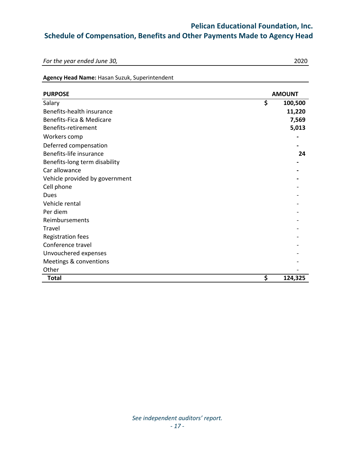## **Pelican Educational Foundation, Inc.**

## **Schedule of Compensation, Benefits and Other Payments Made to Agency Head**

*For the year ended June 30,* 2020

## **Agency Head Name:** Hasan Suzuk, Superintendent

| <b>PURPOSE</b>                 | <b>AMOUNT</b> |         |
|--------------------------------|---------------|---------|
| Salary                         | \$            | 100,500 |
| Benefits-health insurance      |               | 11,220  |
| Benefits-Fica & Medicare       |               | 7,569   |
| Benefits-retirement            |               | 5,013   |
| Workers comp                   |               |         |
| Deferred compensation          |               |         |
| Benefits-life insurance        |               | 24      |
| Benefits-long term disability  |               |         |
| Car allowance                  |               |         |
| Vehicle provided by government |               |         |
| Cell phone                     |               |         |
| Dues                           |               |         |
| Vehicle rental                 |               |         |
| Per diem                       |               |         |
| Reimbursements                 |               |         |
| <b>Travel</b>                  |               |         |
| <b>Registration fees</b>       |               |         |
| Conference travel              |               |         |
| Unvouchered expenses           |               |         |
| Meetings & conventions         |               |         |
| Other                          |               |         |
| <b>Total</b>                   | \$            | 124,325 |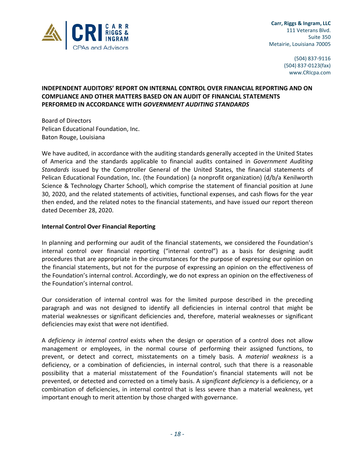

 **Carr, Riggs & Ingram, LLC** 111 Veterans Blvd. Suite 350 Metairie, Louisiana 70005

> (504) 837‐9116 (504) 837‐0123(fax) www.CRIcpa.com

## **INDEPENDENT AUDITORS' REPORT ON INTERNAL CONTROL OVER FINANCIAL REPORTING AND ON COMPLIANCE AND OTHER MATTERS BASED ON AN AUDIT OF FINANCIAL STATEMENTS PERFORMED IN ACCORDANCE WITH** *GOVERNMENT AUDITING STANDARDS*

Board of Directors Pelican Educational Foundation, Inc. Baton Rouge, Louisiana

We have audited, in accordance with the auditing standards generally accepted in the United States of America and the standards applicable to financial audits contained in *Government Auditing Standards* issued by the Comptroller General of the United States, the financial statements of Pelican Educational Foundation, Inc. (the Foundation) (a nonprofit organization) (d/b/a Kenilworth Science & Technology Charter School), which comprise the statement of financial position at June 30, 2020, and the related statements of activities, functional expenses, and cash flows for the year then ended, and the related notes to the financial statements, and have issued our report thereon dated December 28, 2020.

## **Internal Control Over Financial Reporting**

In planning and performing our audit of the financial statements, we considered the Foundation's internal control over financial reporting ("internal control") as a basis for designing audit procedures that are appropriate in the circumstances for the purpose of expressing our opinion on the financial statements, but not for the purpose of expressing an opinion on the effectiveness of the Foundation's internal control. Accordingly, we do not express an opinion on the effectiveness of the Foundation's internal control.

Our consideration of internal control was for the limited purpose described in the preceding paragraph and was not designed to identify all deficiencies in internal control that might be material weaknesses or significant deficiencies and, therefore, material weaknesses or significant deficiencies may exist that were not identified.

A *deficiency in internal control* exists when the design or operation of a control does not allow management or employees, in the normal course of performing their assigned functions, to prevent, or detect and correct, misstatements on a timely basis. A *material weakness* is a deficiency, or a combination of deficiencies, in internal control, such that there is a reasonable possibility that a material misstatement of the Foundation's financial statements will not be prevented, or detected and corrected on a timely basis. A *significant deficiency* is a deficiency, or a combination of deficiencies, in internal control that is less severe than a material weakness, yet important enough to merit attention by those charged with governance.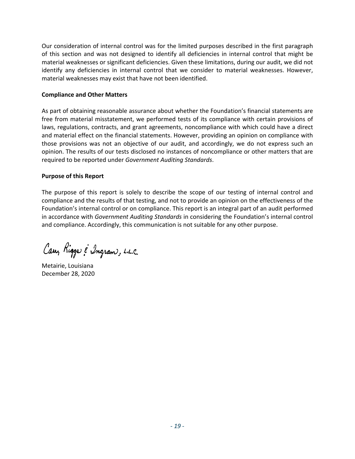Our consideration of internal control was for the limited purposes described in the first paragraph of this section and was not designed to identify all deficiencies in internal control that might be material weaknesses or significant deficiencies. Given these limitations, during our audit, we did not identify any deficiencies in internal control that we consider to material weaknesses. However, material weaknesses may exist that have not been identified.

## **Compliance and Other Matters**

As part of obtaining reasonable assurance about whether the Foundation's financial statements are free from material misstatement, we performed tests of its compliance with certain provisions of laws, regulations, contracts, and grant agreements, noncompliance with which could have a direct and material effect on the financial statements. However, providing an opinion on compliance with those provisions was not an objective of our audit, and accordingly, we do not express such an opinion. The results of our tests disclosed no instances of noncompliance or other matters that are required to be reported under *Government Auditing Standards*.

## **Purpose of this Report**

The purpose of this report is solely to describe the scope of our testing of internal control and compliance and the results of that testing, and not to provide an opinion on the effectiveness of the Foundation's internal control or on compliance. This report is an integral part of an audit performed in accordance with *Government Auditing Standards* in considering the Foundation's internal control and compliance. Accordingly, this communication is not suitable for any other purpose.

Cary Riggs & Ingram, L.L.C.

Metairie, Louisiana December 28, 2020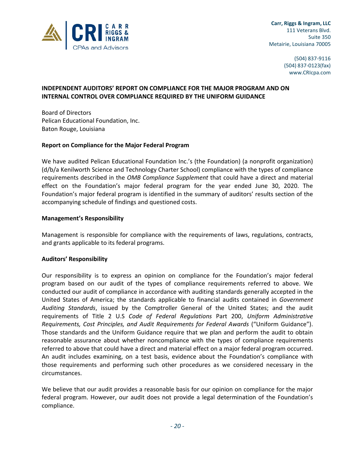

 (504) 837‐9116 (504) 837‐0123(fax) www.CRIcpa.com

## **INDEPENDENT AUDITORS' REPORT ON COMPLIANCE FOR THE MAJOR PROGRAM AND ON INTERNAL CONTROL OVER COMPLIANCE REQUIRED BY THE UNIFORM GUIDANCE**

Board of Directors Pelican Educational Foundation, Inc. Baton Rouge, Louisiana

## **Report on Compliance for the Major Federal Program**

We have audited Pelican Educational Foundation Inc.'s (the Foundation) (a nonprofit organization) (d/b/a Kenilworth Science and Technology Charter School) compliance with the types of compliance requirements described in the *OMB Compliance Supplement* that could have a direct and material effect on the Foundation's major federal program for the year ended June 30, 2020. The Foundation's major federal program is identified in the summary of auditors' results section of the accompanying schedule of findings and questioned costs.

## **Management's Responsibility**

Management is responsible for compliance with the requirements of laws, regulations, contracts, and grants applicable to its federal programs.

#### **Auditors' Responsibility**

Our responsibility is to express an opinion on compliance for the Foundation's major federal program based on our audit of the types of compliance requirements referred to above. We conducted our audit of compliance in accordance with auditing standards generally accepted in the United States of America; the standards applicable to financial audits contained in *Government Auditing Standards*, issued by the Comptroller General of the United States; and the audit requirements of Title 2 U.S *Code of Federal Regulations* Part 200, *Uniform Administrative Requirements, Cost Principles, and Audit Requirements for Federal Awards* ("Uniform Guidance"). Those standards and the Uniform Guidance require that we plan and perform the audit to obtain reasonable assurance about whether noncompliance with the types of compliance requirements referred to above that could have a direct and material effect on a major federal program occurred. An audit includes examining, on a test basis, evidence about the Foundation's compliance with those requirements and performing such other procedures as we considered necessary in the circumstances.

We believe that our audit provides a reasonable basis for our opinion on compliance for the major federal program. However, our audit does not provide a legal determination of the Foundation's compliance.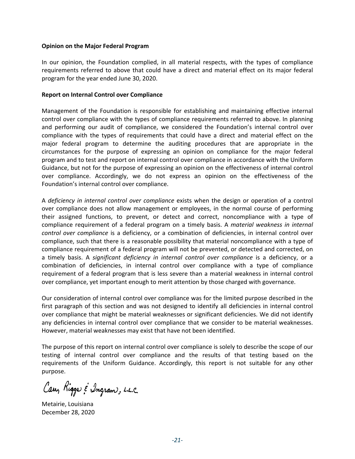#### **Opinion on the Major Federal Program**

In our opinion, the Foundation complied, in all material respects, with the types of compliance requirements referred to above that could have a direct and material effect on its major federal program for the year ended June 30, 2020.

#### **Report on Internal Control over Compliance**

Management of the Foundation is responsible for establishing and maintaining effective internal control over compliance with the types of compliance requirements referred to above. In planning and performing our audit of compliance, we considered the Foundation's internal control over compliance with the types of requirements that could have a direct and material effect on the major federal program to determine the auditing procedures that are appropriate in the circumstances for the purpose of expressing an opinion on compliance for the major federal program and to test and report on internal control over compliance in accordance with the Uniform Guidance, but not for the purpose of expressing an opinion on the effectiveness of internal control over compliance. Accordingly, we do not express an opinion on the effectiveness of the Foundation's internal control over compliance.

A *deficiency in internal control over compliance* exists when the design or operation of a control over compliance does not allow management or employees, in the normal course of performing their assigned functions, to prevent, or detect and correct, noncompliance with a type of compliance requirement of a federal program on a timely basis. A *material weakness in internal control over compliance* is a deficiency, or a combination of deficiencies, in internal control over compliance, such that there is a reasonable possibility that material noncompliance with a type of compliance requirement of a federal program will not be prevented, or detected and corrected, on a timely basis. A *significant deficiency in internal control over compliance* is a deficiency, or a combination of deficiencies, in internal control over compliance with a type of compliance requirement of a federal program that is less severe than a material weakness in internal control over compliance, yet important enough to merit attention by those charged with governance.

Our consideration of internal control over compliance was for the limited purpose described in the first paragraph of this section and was not designed to identify all deficiencies in internal control over compliance that might be material weaknesses or significant deficiencies. We did not identify any deficiencies in internal control over compliance that we consider to be material weaknesses. However, material weaknesses may exist that have not been identified.

The purpose of this report on internal control over compliance is solely to describe the scope of our testing of internal control over compliance and the results of that testing based on the requirements of the Uniform Guidance. Accordingly, this report is not suitable for any other purpose.

Carr, Rigger & Ingram, L.L.C.

Metairie, Louisiana December 28, 2020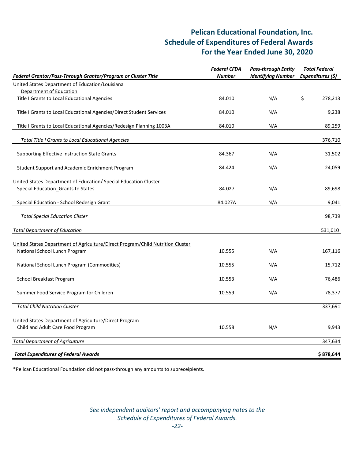## **Pelican Educational Foundation, Inc. Schedule of Expenditures of Federal Awards For the Year Ended June 30, 2020**

| Federal Grantor/Pass-Through Grantor/Program or Cluster Title                                                   | <b>Federal CFDA</b><br><b>Pass-through Entity</b><br><b>Identifying Number</b><br><b>Number</b> |     | <b>Total Federal</b><br>Expenditures (\$) |  |
|-----------------------------------------------------------------------------------------------------------------|-------------------------------------------------------------------------------------------------|-----|-------------------------------------------|--|
| United States Department of Education/Louisiana                                                                 |                                                                                                 |     |                                           |  |
| Department of Education                                                                                         |                                                                                                 |     |                                           |  |
| Title I Grants to Local Educational Agencies                                                                    | 84.010                                                                                          | N/A | \$<br>278,213                             |  |
| Title I Grants to Local Educational Agencies/Direct Student Services                                            | 84.010                                                                                          | N/A | 9,238                                     |  |
| Title I Grants to Local Educational Agencies/Redesign Planning 1003A                                            | 84.010                                                                                          | N/A | 89,259                                    |  |
| <b>Total Title I Grants to Local Educational Agencies</b>                                                       |                                                                                                 |     | 376,710                                   |  |
| Supporting Effective Instruction State Grants                                                                   | 84.367                                                                                          | N/A | 31,502                                    |  |
| Student Support and Academic Enrichment Program                                                                 | 84.424                                                                                          | N/A | 24,059                                    |  |
| United States Department of Education/ Special Education Cluster<br>Special Education_Grants to States          | 84.027                                                                                          | N/A | 89,698                                    |  |
| Special Education - School Redesign Grant                                                                       | 84.027A                                                                                         | N/A | 9,041                                     |  |
| <b>Total Special Education Clister</b>                                                                          |                                                                                                 |     | 98,739                                    |  |
| <b>Total Department of Education</b>                                                                            |                                                                                                 |     | 531,010                                   |  |
|                                                                                                                 |                                                                                                 |     |                                           |  |
| United States Department of Agriculture/Direct Program/Child Nutrition Cluster<br>National School Lunch Program | 10.555                                                                                          | N/A | 167,116                                   |  |
| National School Lunch Program (Commodities)                                                                     | 10.555                                                                                          | N/A | 15,712                                    |  |
| School Breakfast Program                                                                                        | 10.553                                                                                          | N/A | 76,486                                    |  |
| Summer Food Service Program for Children                                                                        | 10.559                                                                                          | N/A | 78,377                                    |  |
| <b>Total Child Nutrition Cluster</b>                                                                            |                                                                                                 |     | 337,691                                   |  |
| United States Department of Agriculture/Direct Program                                                          |                                                                                                 |     |                                           |  |
| Child and Adult Care Food Program                                                                               | 10.558                                                                                          | N/A | 9,943                                     |  |
| <b>Total Department of Agriculture</b>                                                                          |                                                                                                 |     | 347,634                                   |  |
| <b>Total Expenditures of Federal Awards</b>                                                                     |                                                                                                 |     | \$878,644                                 |  |

\*Pelican Educational Foundation did not pass‐through any amounts to subreceipients.

*See independent auditors' report and accompanying notes to the Schedule of Expenditures of Federal Awards. ‐22‐*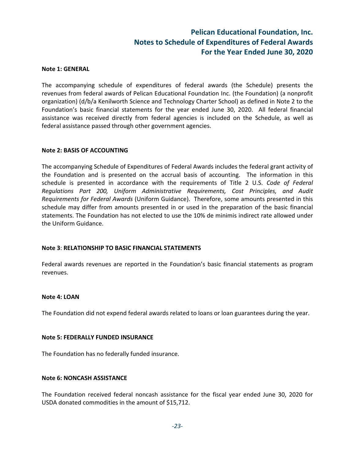## **Pelican Educational Foundation, Inc. Notes to Schedule of Expenditures of Federal Awards For the Year Ended June 30, 2020**

#### **Note 1: GENERAL**

The accompanying schedule of expenditures of federal awards (the Schedule) presents the revenues from federal awards of Pelican Educational Foundation Inc. (the Foundation) (a nonprofit organization) (d/b/a Kenilworth Science and Technology Charter School) as defined in Note 2 to the Foundation's basic financial statements for the year ended June 30, 2020. All federal financial assistance was received directly from federal agencies is included on the Schedule, as well as federal assistance passed through other government agencies.

#### **Note 2: BASIS OF ACCOUNTING**

The accompanying Schedule of Expenditures of Federal Awards includes the federal grant activity of the Foundation and is presented on the accrual basis of accounting. The information in this schedule is presented in accordance with the requirements of Title 2 U.S. *Code of Federal Regulations Part 200, Uniform Administrative Requirements, Cost Principles, and Audit Requirements for Federal Awards* (Uniform Guidance). Therefore, some amounts presented in this schedule may differ from amounts presented in or used in the preparation of the basic financial statements. The Foundation has not elected to use the 10% de minimis indirect rate allowed under the Uniform Guidance.

#### **Note 3**: **RELATIONSHIP TO BASIC FINANCIAL STATEMENTS**

Federal awards revenues are reported in the Foundation's basic financial statements as program revenues.

#### **Note 4: LOAN**

The Foundation did not expend federal awards related to loans or loan guarantees during the year.

#### **Note 5: FEDERALLY FUNDED INSURANCE**

The Foundation has no federally funded insurance.

#### **Note 6: NONCASH ASSISTANCE**

The Foundation received federal noncash assistance for the fiscal year ended June 30, 2020 for USDA donated commodities in the amount of \$15,712.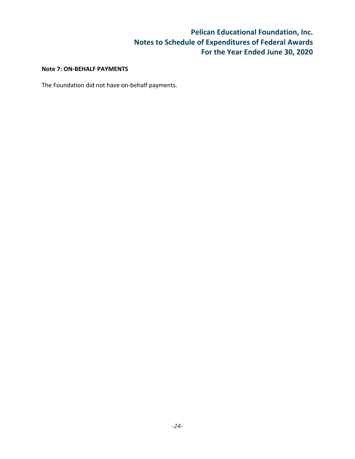## **Pelican Educational Foundation, Inc. Notes to Schedule of Expenditures of Federal Awards For the Year Ended June 30, 2020**

## **Note 7: ON‐BEHALF PAYMENTS**

The Foundation did not have on‐behalf payments.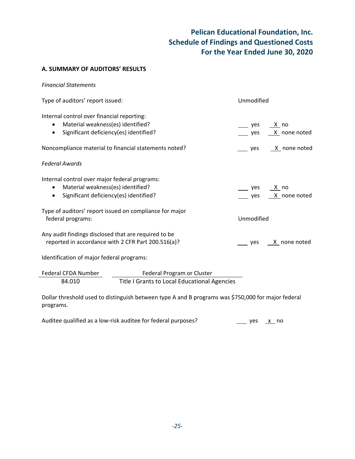# **Pelican Educational Foundation, Inc. Schedule of Findings and Questioned Costs For the Year Ended June 30, 2020**

## **A. SUMMARY OF AUDITORS' RESULTS**

| <b>Financial Statements</b>                                                                                                                            |                                               |
|--------------------------------------------------------------------------------------------------------------------------------------------------------|-----------------------------------------------|
| Type of auditors' report issued:                                                                                                                       | Unmodified                                    |
| Internal control over financial reporting:<br>Material weakness(es) identified?<br>$\bullet$<br>Significant deficiency(es) identified?<br>$\bullet$    | yes<br><u>_ X _</u> no<br>X none noted<br>yes |
| Noncompliance material to financial statements noted?                                                                                                  | $X$ none noted<br>yes                         |
| <b>Federal Awards</b>                                                                                                                                  |                                               |
| Internal control over major federal programs:<br>Material weakness(es) identified?<br>$\bullet$<br>Significant deficiency(es) identified?<br>$\bullet$ | yes<br>X no<br>X none noted<br>yes            |
| Type of auditors' report issued on compliance for major<br>federal programs:                                                                           | Unmodified                                    |
| Any audit findings disclosed that are required to be<br>reported in accordance with 2 CFR Part 200.516(a)?                                             | $X$ none noted<br>yes                         |
| Identification of major federal programs:                                                                                                              |                                               |
| Federal CFDA Number<br>Federal Program or Cluster<br>Title I Grants to Local Educational Agencies<br>84.010                                            |                                               |
| Dollar threshold used to distinguish between type A and B programs was \$750,000 for major federal<br>programs.                                        |                                               |

| Auditee qualified as a low-risk auditee for federal purposes? | _____ yes <u>___x _</u> no |  |  |
|---------------------------------------------------------------|----------------------------|--|--|
|---------------------------------------------------------------|----------------------------|--|--|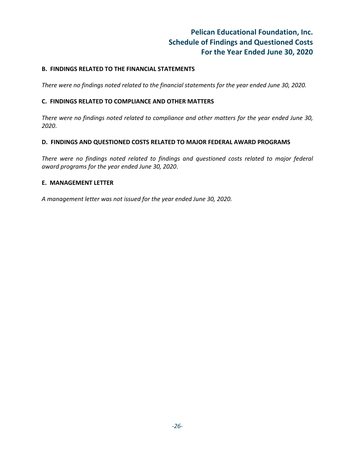## **Pelican Educational Foundation, Inc. Schedule of Findings and Questioned Costs For the Year Ended June 30, 2020**

## **B. FINDINGS RELATED TO THE FINANCIAL STATEMENTS**

*There were no findings noted related to the financial statements for the year ended June 30, 2020.*

## **C. FINDINGS RELATED TO COMPLIANCE AND OTHER MATTERS**

*There were no findings noted related to compliance and other matters for the year ended June 30, 2020*.

## **D. FINDINGS AND QUESTIONED COSTS RELATED TO MAJOR FEDERAL AWARD PROGRAMS**

*There were no findings noted related to findings and questioned costs related to major federal award programs for the year ended June 30, 2020*.

## **E. MANAGEMENT LETTER**

*A management letter was not issued for the year ended June 30, 2020.*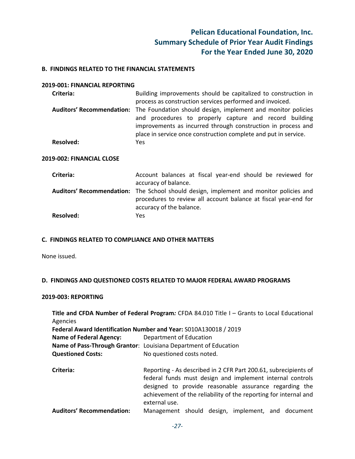## **Pelican Educational Foundation, Inc. Summary Schedule of Prior Year Audit Findings For the Year Ended June 30, 2020**

#### **B. FINDINGS RELATED TO THE FINANCIAL STATEMENTS**

#### **2019‐001: FINANCIAL REPORTING**

| Criteria: | Building improvements should be capitalized to construction in                         |
|-----------|----------------------------------------------------------------------------------------|
|           | process as construction services performed and invoiced.                               |
|           | Auditors' Recommendation: The Foundation should design, implement and monitor policies |
|           | and procedures to properly capture and record building                                 |
|           | improvements as incurred through construction in process and                           |
|           | place in service once construction complete and put in service.                        |
| Resolved: | Yes.                                                                                   |

#### **2019‐002: FINANCIAL CLOSE**

| Criteria:        | Account balances at fiscal year-end should be reviewed for                                                                                                |
|------------------|-----------------------------------------------------------------------------------------------------------------------------------------------------------|
|                  | accuracy of balance.                                                                                                                                      |
|                  | Auditors' Recommendation: The School should design, implement and monitor policies and<br>procedures to review all account balance at fiscal year-end for |
|                  |                                                                                                                                                           |
|                  | accuracy of the balance.                                                                                                                                  |
| <b>Resolved:</b> | Yes.                                                                                                                                                      |

## **C. FINDINGS RELATED TO COMPLIANCE AND OTHER MATTERS**

None issued.

#### **D. FINDINGS AND QUESTIONED COSTS RELATED TO MAJOR FEDERAL AWARD PROGRAMS**

#### **2019‐003: REPORTING**

**Title and CFDA Number of Federal Program***:* CFDA 84.010 Title I – Grants to Local Educational Agencies **Federal Award Identification Number and Year:** S010A130018 / 2019 **Name of Federal Agency:**  Department of Education **Name of Pass‐Through Grantor**: Louisiana Department of Education **Questioned Costs:** No questioned costs noted. **Criteria:** Reporting ‐ As described in 2 CFR Part 200.61, subrecipients of federal funds must design and implement internal controls designed to provide reasonable assurance regarding the achievement of the reliability of the reporting for internal and external use.

**Auditors' Recommendation:** Management should design, implement, and document